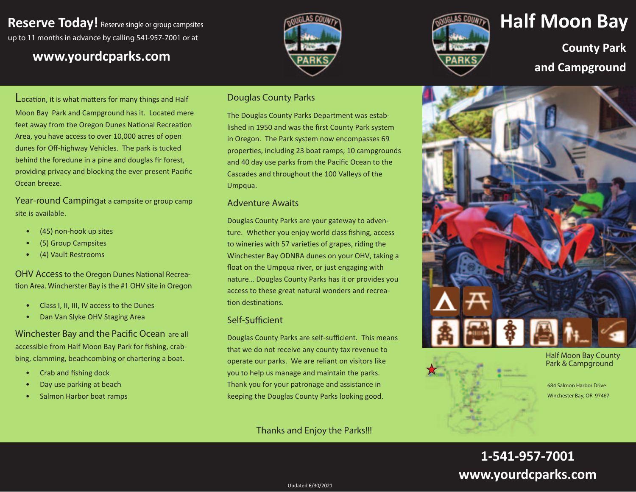## **Reserve Today!** Reserve single or group campsites up to 11 months in advance by calling 541-957-7001 or at

## www.yourdcparks.com





# **Half Moon Bay**

**County Park** and Campground

Location, it is what matters for many things and Half Moon Bay Park and Campground has it. Located mere feet away from the Oregon Dunes National Recreation Area, you have access to over 10,000 acres of open dunes for Off-highway Vehicles. The park is tucked behind the foredune in a pine and douglas fir forest, providing privacy and blocking the ever present Pacific Ocean breeze.

Year-round Campingat a campsite or group camp site is available.

- (45) non-hook up sites
- (5) Group Campsites
- $\bullet$ (4) Vault Restrooms

**OHV Access to the Oregon Dunes National Recrea**tion Area. Wincherster Bay is the #1 OHV site in Oregon

- Class I, II, III, IV access to the Dunes  $\bullet$
- Dan Van Slyke OHV Staging Area

Winchester Bay and the Pacific Ocean are all accessible from Half Moon Bay Park for fishing, crabbing, clamming, beachcombing or chartering a boat.

- Crab and fishing dock  $\bullet$
- Day use parking at beach
- Salmon Harbor boat ramps

#### **Douglas County Parks**

The Douglas County Parks Department was established in 1950 and was the first County Park system in Oregon. The Park system now encompasses 69 properties, including 23 boat ramps, 10 campgrounds and 40 day use parks from the Pacific Ocean to the Cascades and throughout the 100 Valleys of the Umpqua.

#### **Adventure Awaits**

Douglas County Parks are your gateway to adventure. Whether you enjoy world class fishing, access to wineries with 57 varieties of grapes, riding the Winchester Bay ODNRA dunes on your OHV, taking a float on the Umpqua river, or just engaging with nature... Douglas County Parks has it or provides you access to these great natural wonders and recreation destinations.

#### Self-Sufficient

Douglas County Parks are self-sufficient. This means that we do not receive any county tax revenue to operate our parks. We are reliant on visitors like you to help us manage and maintain the parks. Thank you for your patronage and assistance in keeping the Douglas County Parks looking good.

### Thanks and Enjoy the Parks!!!



**Half Moon Bay County** Park & Campground

684 Salmon Harbor Drive Winchester Bay, OR 97467

## 1-541-957-7001 www.yourdcparks.com

Updated 6/30/2021